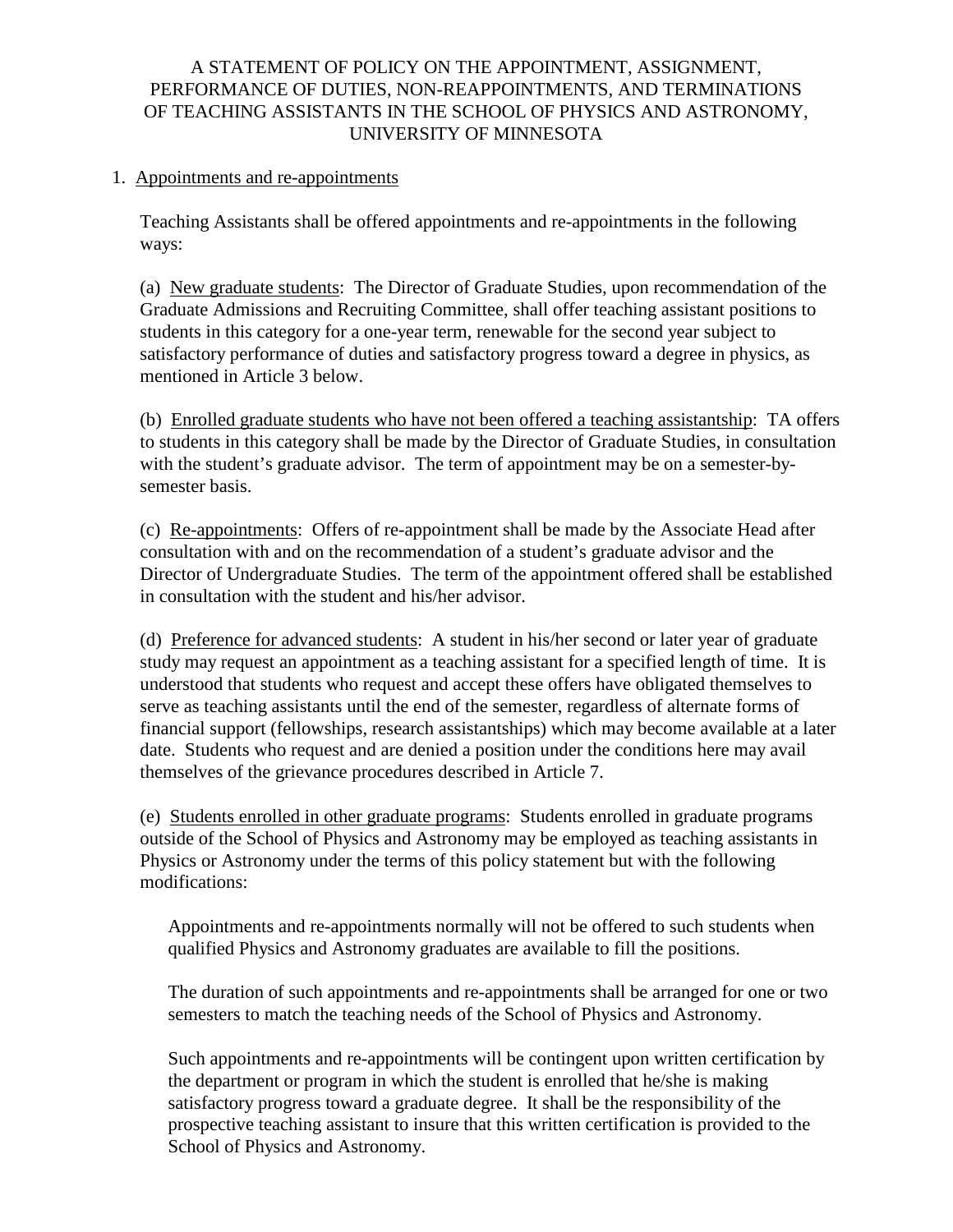### A STATEMENT OF POLICY ON THE APPOINTMENT, ASSIGNMENT, PERFORMANCE OF DUTIES, NON-REAPPOINTMENTS, AND TERMINATIONS OF TEACHING ASSISTANTS IN THE SCHOOL OF PHYSICS AND ASTRONOMY, UNIVERSITY OF MINNESOTA

### 1. Appointments and re-appointments

Teaching Assistants shall be offered appointments and re-appointments in the following ways:

(a) New graduate students: The Director of Graduate Studies, upon recommendation of the Graduate Admissions and Recruiting Committee, shall offer teaching assistant positions to students in this category for a one-year term, renewable for the second year subject to satisfactory performance of duties and satisfactory progress toward a degree in physics, as mentioned in Article 3 below.

(b) Enrolled graduate students who have not been offered a teaching assistantship: TA offers to students in this category shall be made by the Director of Graduate Studies, in consultation with the student's graduate advisor. The term of appointment may be on a semester-bysemester basis.

(c) Re-appointments: Offers of re-appointment shall be made by the Associate Head after consultation with and on the recommendation of a student's graduate advisor and the Director of Undergraduate Studies. The term of the appointment offered shall be established in consultation with the student and his/her advisor.

(d) Preference for advanced students: A student in his/her second or later year of graduate study may request an appointment as a teaching assistant for a specified length of time. It is understood that students who request and accept these offers have obligated themselves to serve as teaching assistants until the end of the semester, regardless of alternate forms of financial support (fellowships, research assistantships) which may become available at a later date. Students who request and are denied a position under the conditions here may avail themselves of the grievance procedures described in Article 7.

(e) Students enrolled in other graduate programs: Students enrolled in graduate programs outside of the School of Physics and Astronomy may be employed as teaching assistants in Physics or Astronomy under the terms of this policy statement but with the following modifications:

Appointments and re-appointments normally will not be offered to such students when qualified Physics and Astronomy graduates are available to fill the positions.

The duration of such appointments and re-appointments shall be arranged for one or two semesters to match the teaching needs of the School of Physics and Astronomy.

Such appointments and re-appointments will be contingent upon written certification by the department or program in which the student is enrolled that he/she is making satisfactory progress toward a graduate degree. It shall be the responsibility of the prospective teaching assistant to insure that this written certification is provided to the School of Physics and Astronomy.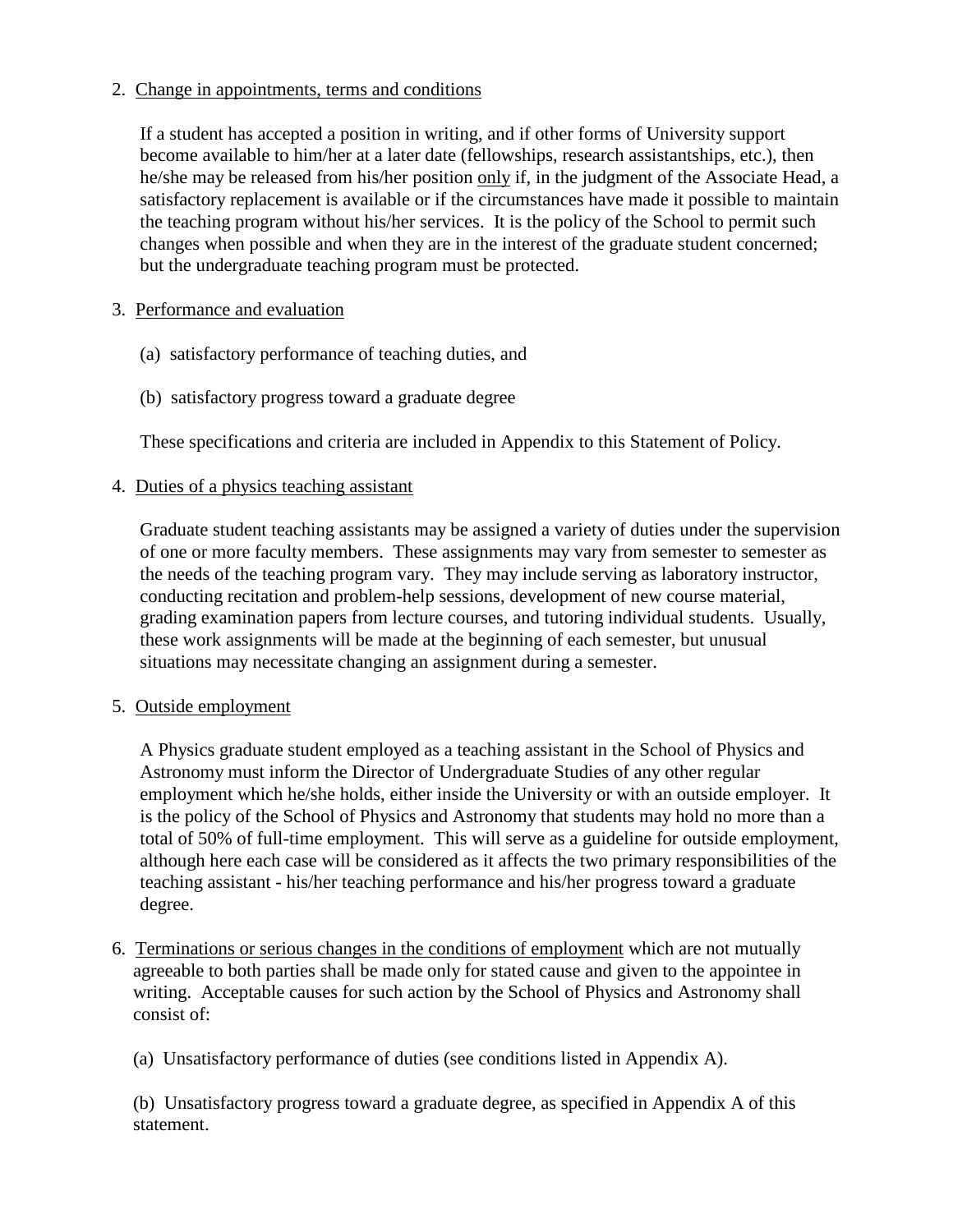### 2. Change in appointments, terms and conditions

 If a student has accepted a position in writing, and if other forms of University support become available to him/her at a later date (fellowships, research assistantships, etc.), then he/she may be released from his/her position only if, in the judgment of the Associate Head, a satisfactory replacement is available or if the circumstances have made it possible to maintain the teaching program without his/her services. It is the policy of the School to permit such changes when possible and when they are in the interest of the graduate student concerned; but the undergraduate teaching program must be protected.

### 3. Performance and evaluation

- (a) satisfactory performance of teaching duties, and
- (b) satisfactory progress toward a graduate degree

These specifications and criteria are included in Appendix to this Statement of Policy.

### 4. Duties of a physics teaching assistant

Graduate student teaching assistants may be assigned a variety of duties under the supervision of one or more faculty members. These assignments may vary from semester to semester as the needs of the teaching program vary. They may include serving as laboratory instructor, conducting recitation and problem-help sessions, development of new course material, grading examination papers from lecture courses, and tutoring individual students. Usually, these work assignments will be made at the beginning of each semester, but unusual situations may necessitate changing an assignment during a semester.

### 5. Outside employment

A Physics graduate student employed as a teaching assistant in the School of Physics and Astronomy must inform the Director of Undergraduate Studies of any other regular employment which he/she holds, either inside the University or with an outside employer. It is the policy of the School of Physics and Astronomy that students may hold no more than a total of 50% of full-time employment. This will serve as a guideline for outside employment, although here each case will be considered as it affects the two primary responsibilities of the teaching assistant - his/her teaching performance and his/her progress toward a graduate degree.

6. Terminations or serious changes in the conditions of employment which are not mutually agreeable to both parties shall be made only for stated cause and given to the appointee in writing. Acceptable causes for such action by the School of Physics and Astronomy shall consist of:

(a) Unsatisfactory performance of duties (see conditions listed in Appendix A).

(b) Unsatisfactory progress toward a graduate degree, as specified in Appendix A of this statement.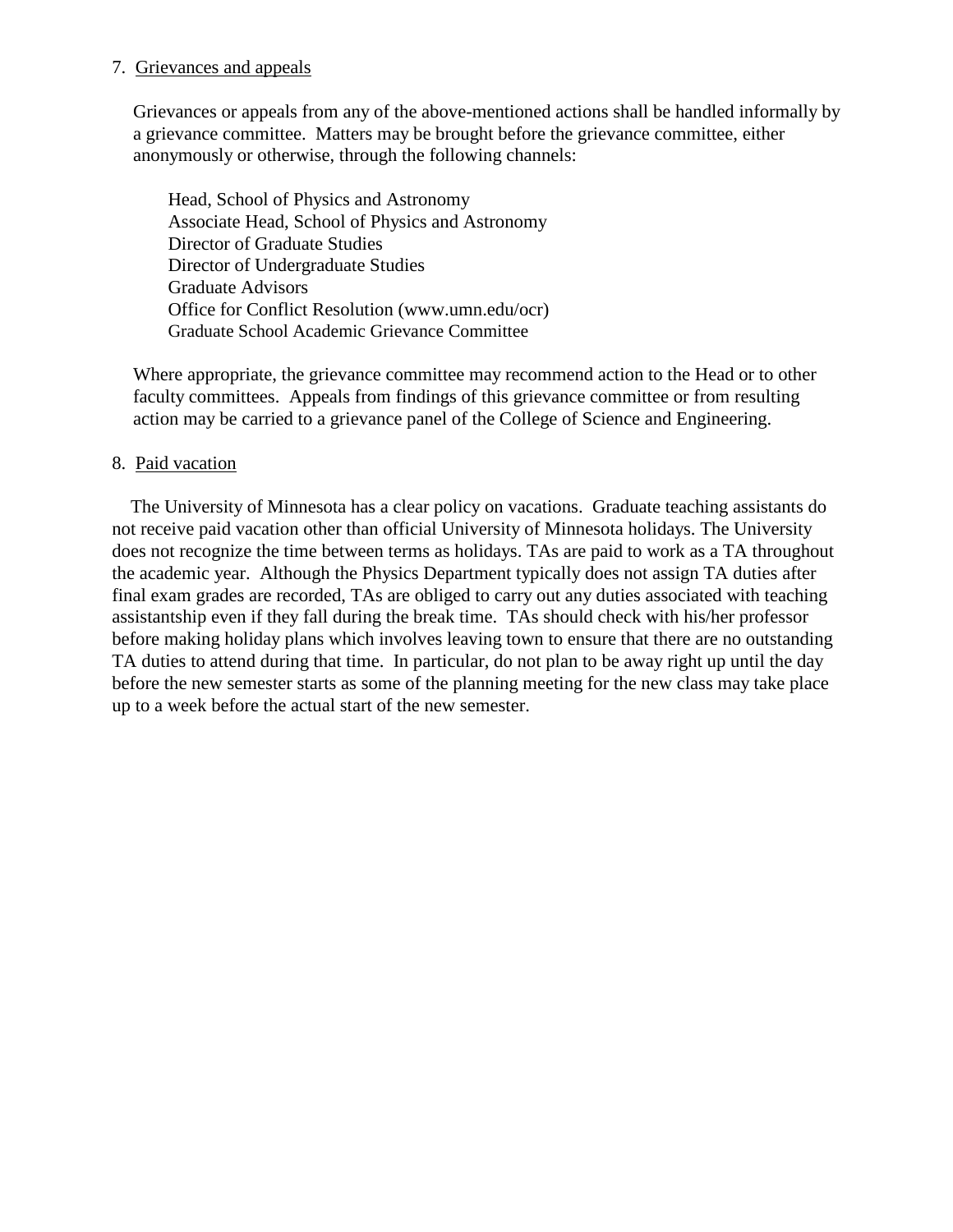#### 7. Grievances and appeals

Grievances or appeals from any of the above-mentioned actions shall be handled informally by a grievance committee. Matters may be brought before the grievance committee, either anonymously or otherwise, through the following channels:

Head, School of Physics and Astronomy Associate Head, School of Physics and Astronomy Director of Graduate Studies Director of Undergraduate Studies Graduate Advisors Office for Conflict Resolution (www.umn.edu/ocr) Graduate School Academic Grievance Committee

Where appropriate, the grievance committee may recommend action to the Head or to other faculty committees. Appeals from findings of this grievance committee or from resulting action may be carried to a grievance panel of the College of Science and Engineering.

#### 8. Paid vacation

 The University of Minnesota has a clear policy on vacations. Graduate teaching assistants do not receive paid vacation other than official University of Minnesota holidays. The University does not recognize the time between terms as holidays. TAs are paid to work as a TA throughout the academic year. Although the Physics Department typically does not assign TA duties after final exam grades are recorded, TAs are obliged to carry out any duties associated with teaching assistantship even if they fall during the break time. TAs should check with his/her professor before making holiday plans which involves leaving town to ensure that there are no outstanding TA duties to attend during that time. In particular, do not plan to be away right up until the day before the new semester starts as some of the planning meeting for the new class may take place up to a week before the actual start of the new semester.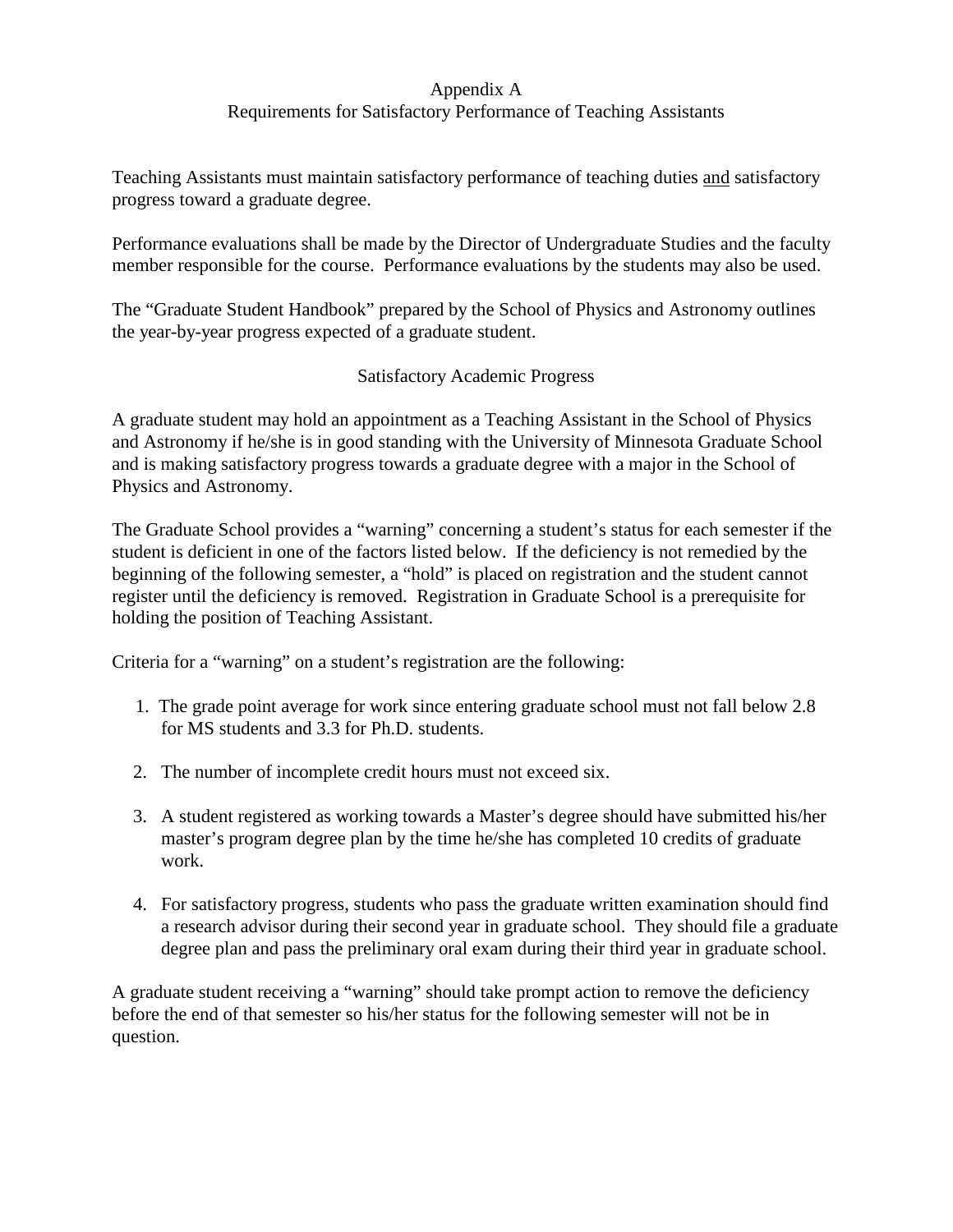### Appendix A

# Requirements for Satisfactory Performance of Teaching Assistants

Teaching Assistants must maintain satisfactory performance of teaching duties and satisfactory progress toward a graduate degree.

Performance evaluations shall be made by the Director of Undergraduate Studies and the faculty member responsible for the course. Performance evaluations by the students may also be used.

The "Graduate Student Handbook" prepared by the School of Physics and Astronomy outlines the year-by-year progress expected of a graduate student.

# Satisfactory Academic Progress

A graduate student may hold an appointment as a Teaching Assistant in the School of Physics and Astronomy if he/she is in good standing with the University of Minnesota Graduate School and is making satisfactory progress towards a graduate degree with a major in the School of Physics and Astronomy.

The Graduate School provides a "warning" concerning a student's status for each semester if the student is deficient in one of the factors listed below. If the deficiency is not remedied by the beginning of the following semester, a "hold" is placed on registration and the student cannot register until the deficiency is removed. Registration in Graduate School is a prerequisite for holding the position of Teaching Assistant.

Criteria for a "warning" on a student's registration are the following:

- 1. The grade point average for work since entering graduate school must not fall below 2.8 for MS students and 3.3 for Ph.D. students.
- 2. The number of incomplete credit hours must not exceed six.
- 3. A student registered as working towards a Master's degree should have submitted his/her master's program degree plan by the time he/she has completed 10 credits of graduate work.
- 4. For satisfactory progress, students who pass the graduate written examination should find a research advisor during their second year in graduate school. They should file a graduate degree plan and pass the preliminary oral exam during their third year in graduate school.

A graduate student receiving a "warning" should take prompt action to remove the deficiency before the end of that semester so his/her status for the following semester will not be in question.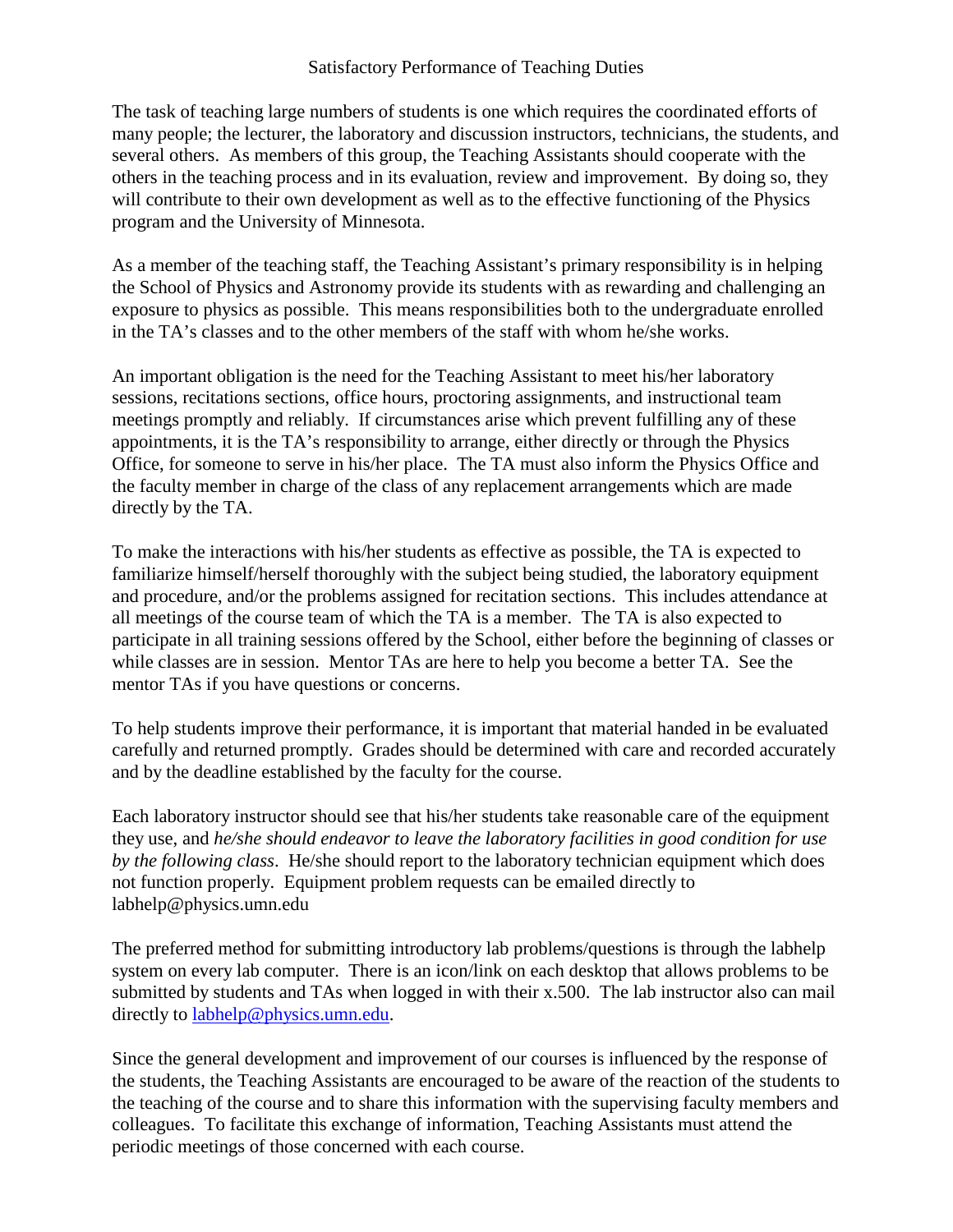### Satisfactory Performance of Teaching Duties

The task of teaching large numbers of students is one which requires the coordinated efforts of many people; the lecturer, the laboratory and discussion instructors, technicians, the students, and several others. As members of this group, the Teaching Assistants should cooperate with the others in the teaching process and in its evaluation, review and improvement. By doing so, they will contribute to their own development as well as to the effective functioning of the Physics program and the University of Minnesota.

As a member of the teaching staff, the Teaching Assistant's primary responsibility is in helping the School of Physics and Astronomy provide its students with as rewarding and challenging an exposure to physics as possible. This means responsibilities both to the undergraduate enrolled in the TA's classes and to the other members of the staff with whom he/she works.

An important obligation is the need for the Teaching Assistant to meet his/her laboratory sessions, recitations sections, office hours, proctoring assignments, and instructional team meetings promptly and reliably. If circumstances arise which prevent fulfilling any of these appointments, it is the TA's responsibility to arrange, either directly or through the Physics Office, for someone to serve in his/her place. The TA must also inform the Physics Office and the faculty member in charge of the class of any replacement arrangements which are made directly by the TA.

To make the interactions with his/her students as effective as possible, the TA is expected to familiarize himself/herself thoroughly with the subject being studied, the laboratory equipment and procedure, and/or the problems assigned for recitation sections. This includes attendance at all meetings of the course team of which the TA is a member. The TA is also expected to participate in all training sessions offered by the School, either before the beginning of classes or while classes are in session. Mentor TAs are here to help you become a better TA. See the mentor TAs if you have questions or concerns.

To help students improve their performance, it is important that material handed in be evaluated carefully and returned promptly. Grades should be determined with care and recorded accurately and by the deadline established by the faculty for the course.

Each laboratory instructor should see that his/her students take reasonable care of the equipment they use, and *he/she should endeavor to leave the laboratory facilities in good condition for use by the following class*. He/she should report to the laboratory technician equipment which does not function properly. Equipment problem requests can be emailed directly to labhelp@physics.umn.edu

The preferred method for submitting introductory lab problems/questions is through the labhelp system on every lab computer. There is an icon/link on each desktop that allows problems to be submitted by students and TAs when logged in with their x.500. The lab instructor also can mail directly to **labhelp@physics.umn.edu.** 

Since the general development and improvement of our courses is influenced by the response of the students, the Teaching Assistants are encouraged to be aware of the reaction of the students to the teaching of the course and to share this information with the supervising faculty members and colleagues. To facilitate this exchange of information, Teaching Assistants must attend the periodic meetings of those concerned with each course.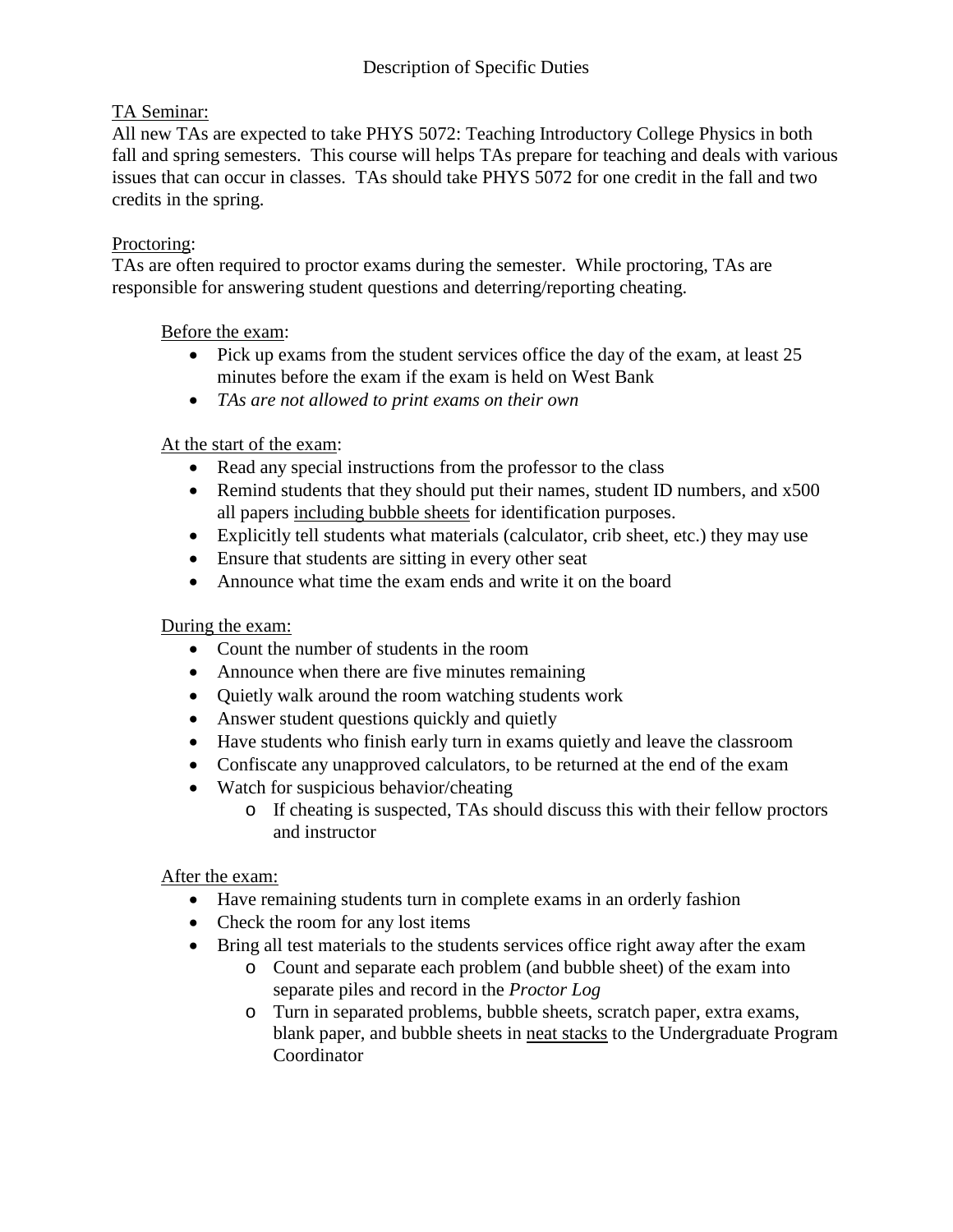# TA Seminar:

All new TAs are expected to take PHYS 5072: Teaching Introductory College Physics in both fall and spring semesters. This course will helps TAs prepare for teaching and deals with various issues that can occur in classes. TAs should take PHYS 5072 for one credit in the fall and two credits in the spring.

# Proctoring:

TAs are often required to proctor exams during the semester. While proctoring, TAs are responsible for answering student questions and deterring/reporting cheating.

Before the exam:

- Pick up exams from the student services office the day of the exam, at least 25 minutes before the exam if the exam is held on West Bank
- *TAs are not allowed to print exams on their own*

# At the start of the exam:

- Read any special instructions from the professor to the class
- Remind students that they should put their names, student ID numbers, and x500 all papers including bubble sheets for identification purposes.
- Explicitly tell students what materials (calculator, crib sheet, etc.) they may use
- Ensure that students are sitting in every other seat
- Announce what time the exam ends and write it on the board

### During the exam:

- Count the number of students in the room
- Announce when there are five minutes remaining
- Ouietly walk around the room watching students work
- Answer student questions quickly and quietly
- Have students who finish early turn in exams quietly and leave the classroom
- Confiscate any unapproved calculators, to be returned at the end of the exam
- Watch for suspicious behavior/cheating
	- o If cheating is suspected, TAs should discuss this with their fellow proctors and instructor

### After the exam:

- Have remaining students turn in complete exams in an orderly fashion
- Check the room for any lost items
- Bring all test materials to the students services office right away after the exam
	- o Count and separate each problem (and bubble sheet) of the exam into separate piles and record in the *Proctor Log*
	- o Turn in separated problems, bubble sheets, scratch paper, extra exams, blank paper, and bubble sheets in neat stacks to the Undergraduate Program **Coordinator**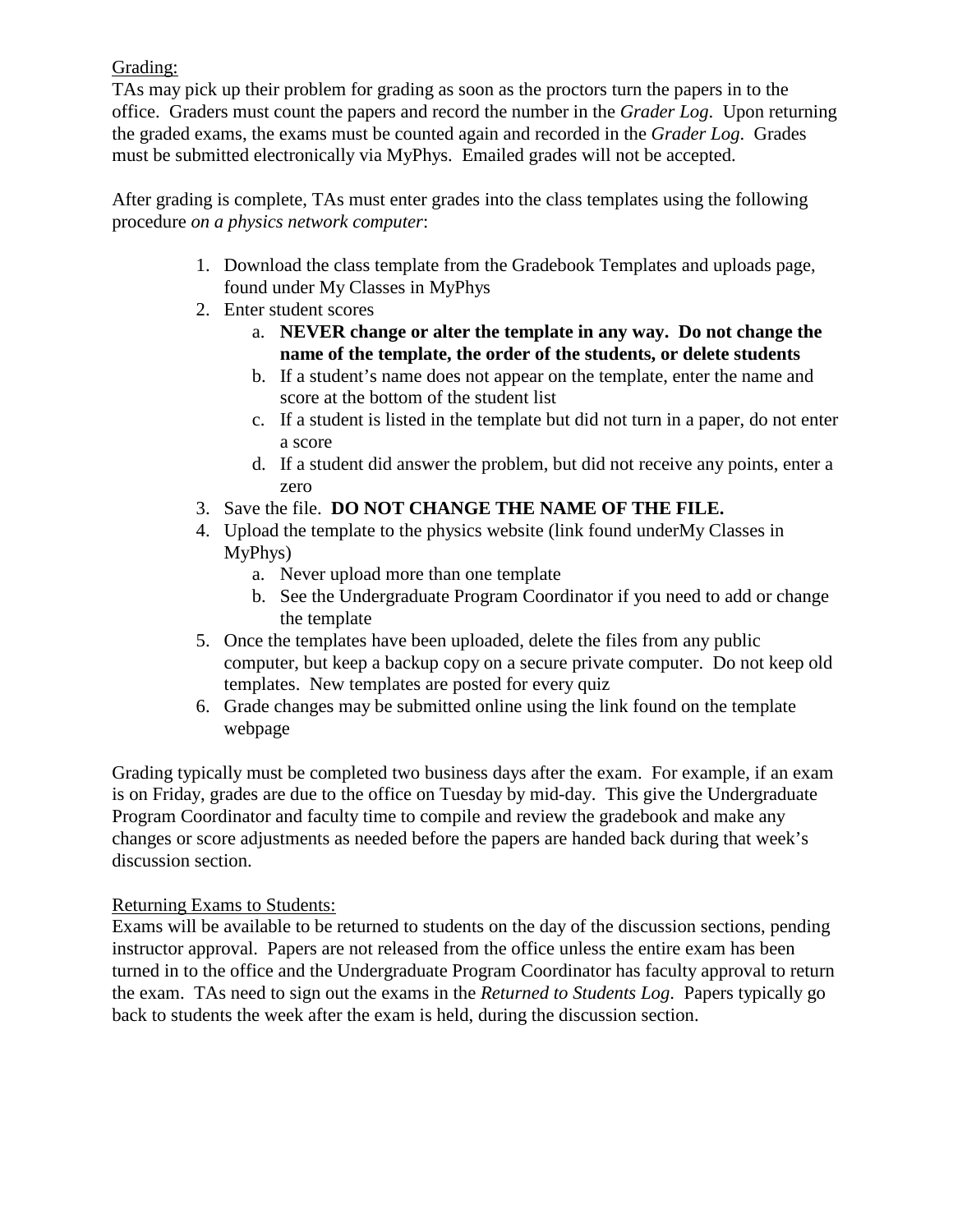## Grading:

TAs may pick up their problem for grading as soon as the proctors turn the papers in to the office. Graders must count the papers and record the number in the *Grader Log*. Upon returning the graded exams, the exams must be counted again and recorded in the *Grader Log*. Grades must be submitted electronically via MyPhys. Emailed grades will not be accepted.

After grading is complete, TAs must enter grades into the class templates using the following procedure *on a physics network computer*:

- 1. Download the class template from the Gradebook Templates and uploads page, found under My Classes in MyPhys
- 2. Enter student scores
	- a. **NEVER change or alter the template in any way. Do not change the name of the template, the order of the students, or delete students**
	- b. If a student's name does not appear on the template, enter the name and score at the bottom of the student list
	- c. If a student is listed in the template but did not turn in a paper, do not enter a score
	- d. If a student did answer the problem, but did not receive any points, enter a zero
- 3. Save the file. **DO NOT CHANGE THE NAME OF THE FILE.**
- 4. Upload the template to the physics website (link found underMy Classes in MyPhys)
	- a. Never upload more than one template
	- b. See the Undergraduate Program Coordinator if you need to add or change the template
- 5. Once the templates have been uploaded, delete the files from any public computer, but keep a backup copy on a secure private computer. Do not keep old templates. New templates are posted for every quiz
- 6. Grade changes may be submitted online using the link found on the template webpage

Grading typically must be completed two business days after the exam. For example, if an exam is on Friday, grades are due to the office on Tuesday by mid-day. This give the Undergraduate Program Coordinator and faculty time to compile and review the gradebook and make any changes or score adjustments as needed before the papers are handed back during that week's discussion section.

# Returning Exams to Students:

Exams will be available to be returned to students on the day of the discussion sections, pending instructor approval. Papers are not released from the office unless the entire exam has been turned in to the office and the Undergraduate Program Coordinator has faculty approval to return the exam. TAs need to sign out the exams in the *Returned to Students Log*. Papers typically go back to students the week after the exam is held, during the discussion section.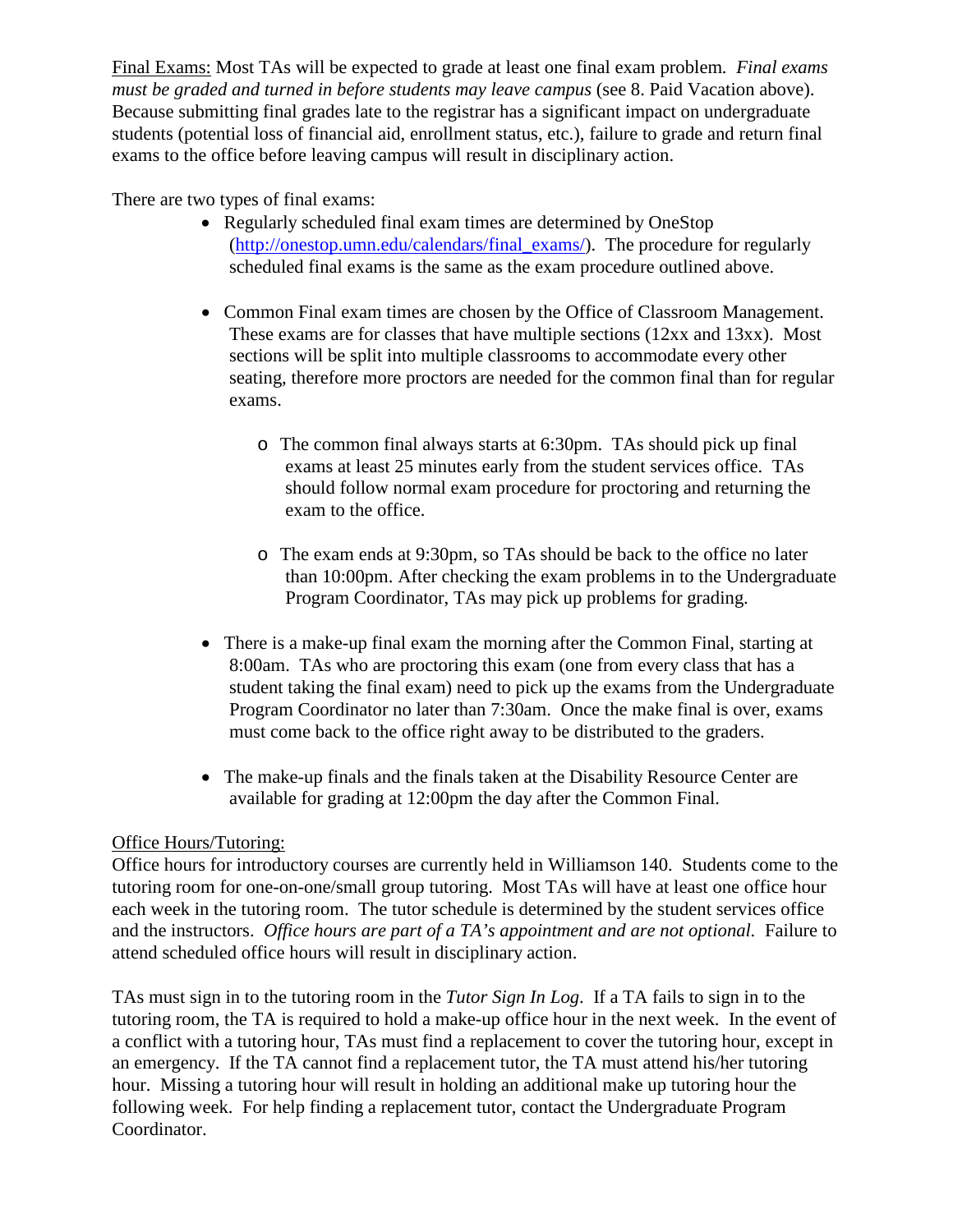Final Exams: Most TAs will be expected to grade at least one final exam problem*. Final exams must be graded and turned in before students may leave campus* (see 8. Paid Vacation above). Because submitting final grades late to the registrar has a significant impact on undergraduate students (potential loss of financial aid, enrollment status, etc.), failure to grade and return final exams to the office before leaving campus will result in disciplinary action.

There are two types of final exams:

- Regularly scheduled final exam times are determined by OneStop [\(http://onestop.umn.edu/calendars/final\\_exams/\)](http://onestop.umn.edu/calendars/final_exams/). The procedure for regularly scheduled final exams is the same as the exam procedure outlined above.
- Common Final exam times are chosen by the Office of Classroom Management. These exams are for classes that have multiple sections (12xx and 13xx). Most sections will be split into multiple classrooms to accommodate every other seating, therefore more proctors are needed for the common final than for regular exams.
	- o The common final always starts at 6:30pm. TAs should pick up final exams at least 25 minutes early from the student services office. TAs should follow normal exam procedure for proctoring and returning the exam to the office.
	- o The exam ends at 9:30pm, so TAs should be back to the office no later than 10:00pm. After checking the exam problems in to the Undergraduate Program Coordinator, TAs may pick up problems for grading.
- There is a make-up final exam the morning after the Common Final, starting at 8:00am. TAs who are proctoring this exam (one from every class that has a student taking the final exam) need to pick up the exams from the Undergraduate Program Coordinator no later than 7:30am. Once the make final is over, exams must come back to the office right away to be distributed to the graders.
- The make-up finals and the finals taken at the Disability Resource Center are available for grading at 12:00pm the day after the Common Final.

### Office Hours/Tutoring:

Office hours for introductory courses are currently held in Williamson 140. Students come to the tutoring room for one-on-one/small group tutoring. Most TAs will have at least one office hour each week in the tutoring room. The tutor schedule is determined by the student services office and the instructors. *Office hours are part of a TA's appointment and are not optional.* Failure to attend scheduled office hours will result in disciplinary action.

TAs must sign in to the tutoring room in the *Tutor Sign In Log*. If a TA fails to sign in to the tutoring room, the TA is required to hold a make-up office hour in the next week. In the event of a conflict with a tutoring hour, TAs must find a replacement to cover the tutoring hour, except in an emergency. If the TA cannot find a replacement tutor, the TA must attend his/her tutoring hour. Missing a tutoring hour will result in holding an additional make up tutoring hour the following week. For help finding a replacement tutor, contact the Undergraduate Program Coordinator.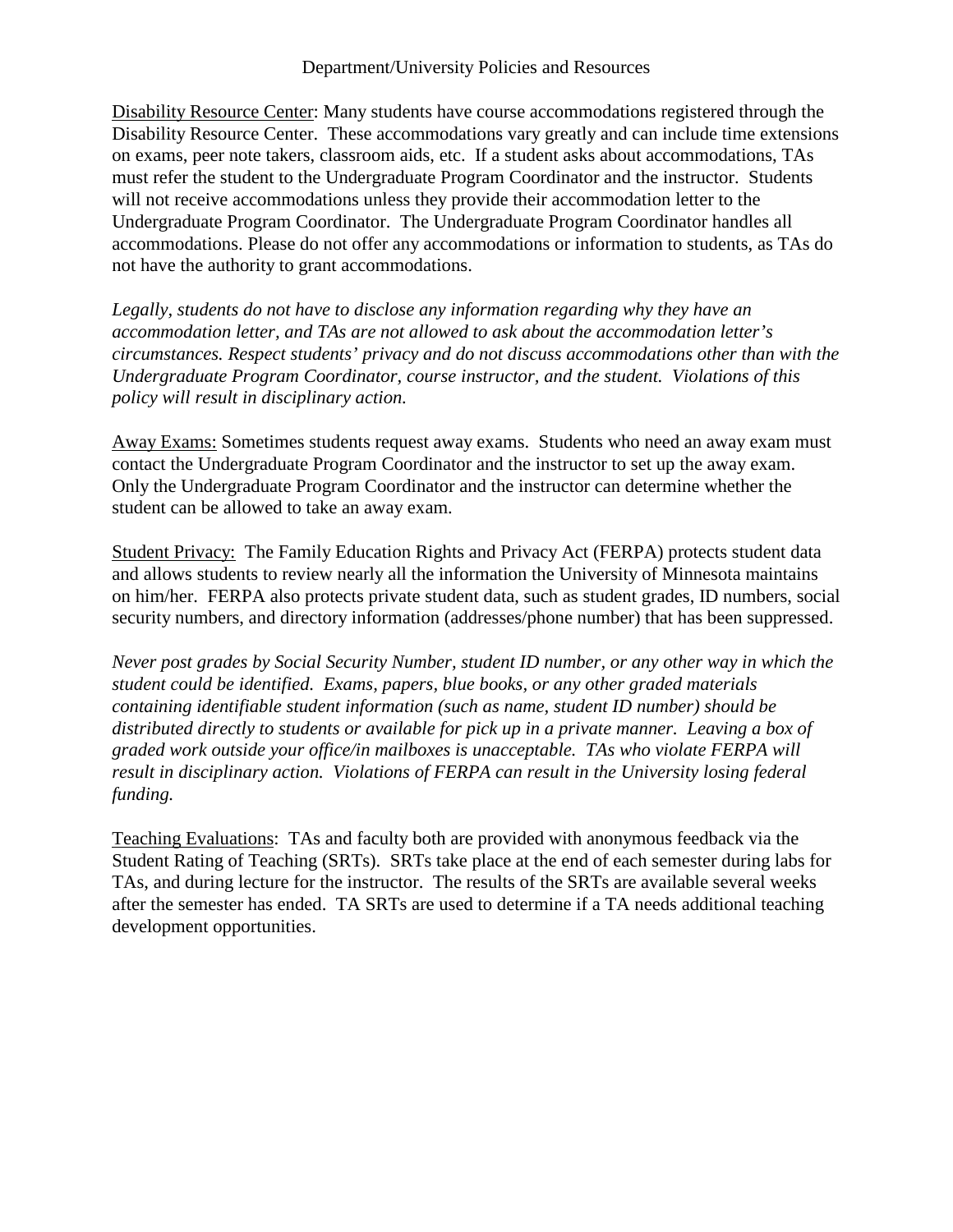#### Department/University Policies and Resources

Disability Resource Center: Many students have course accommodations registered through the Disability Resource Center. These accommodations vary greatly and can include time extensions on exams, peer note takers, classroom aids, etc. If a student asks about accommodations, TAs must refer the student to the Undergraduate Program Coordinator and the instructor. Students will not receive accommodations unless they provide their accommodation letter to the Undergraduate Program Coordinator. The Undergraduate Program Coordinator handles all accommodations. Please do not offer any accommodations or information to students, as TAs do not have the authority to grant accommodations.

*Legally, students do not have to disclose any information regarding why they have an accommodation letter, and TAs are not allowed to ask about the accommodation letter's circumstances. Respect students' privacy and do not discuss accommodations other than with the Undergraduate Program Coordinator, course instructor, and the student. Violations of this policy will result in disciplinary action.*

Away Exams: Sometimes students request away exams. Students who need an away exam must contact the Undergraduate Program Coordinator and the instructor to set up the away exam. Only the Undergraduate Program Coordinator and the instructor can determine whether the student can be allowed to take an away exam.

Student Privacy: The Family Education Rights and Privacy Act (FERPA) protects student data and allows students to review nearly all the information the University of Minnesota maintains on him/her. FERPA also protects private student data, such as student grades, ID numbers, social security numbers, and directory information (addresses/phone number) that has been suppressed.

*Never post grades by Social Security Number, student ID number, or any other way in which the student could be identified. Exams, papers, blue books, or any other graded materials containing identifiable student information (such as name, student ID number) should be distributed directly to students or available for pick up in a private manner. Leaving a box of graded work outside your office/in mailboxes is unacceptable. TAs who violate FERPA will result in disciplinary action. Violations of FERPA can result in the University losing federal funding.* 

Teaching Evaluations: TAs and faculty both are provided with anonymous feedback via the Student Rating of Teaching (SRTs). SRTs take place at the end of each semester during labs for TAs, and during lecture for the instructor. The results of the SRTs are available several weeks after the semester has ended. TA SRTs are used to determine if a TA needs additional teaching development opportunities.